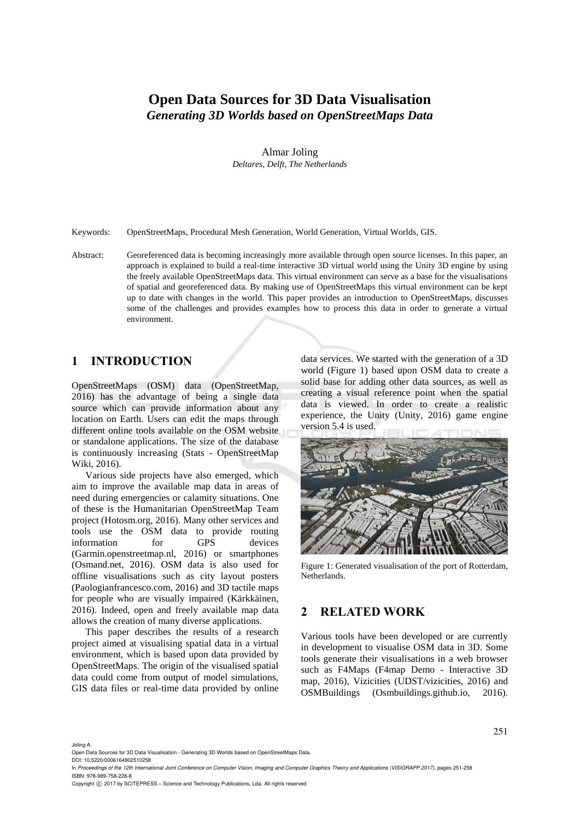# **Open Data Sources for 3D Data Visualisation**  *Generating 3D Worlds based on OpenStreetMaps Data*

Almar Joling *Deltares, Delft, The Netherlands* 

Keywords: OpenStreetMaps, Procedural Mesh Generation, World Generation, Virtual Worlds, GIS.

Abstract: Georeferenced data is becoming increasingly more available through open source licenses. In this paper, an approach is explained to build a real-time interactive 3D virtual world using the Unity 3D engine by using the freely available OpenStreetMaps data. This virtual environment can serve as a base for the visualisations of spatial and georeferenced data. By making use of OpenStreetMaps this virtual environment can be kept up to date with changes in the world. This paper provides an introduction to OpenStreetMaps, discusses some of the challenges and provides examples how to process this data in order to generate a virtual environment.

## **1 INTRODUCTION**

OpenStreetMaps (OSM) data (OpenStreetMap, 2016) has the advantage of being a single data source which can provide information about any location on Earth. Users can edit the maps through different online tools available on the OSM website or standalone applications. The size of the database is continuously increasing (Stats - OpenStreetMap Wiki, 2016).

Various side projects have also emerged, which aim to improve the available map data in areas of need during emergencies or calamity situations. One of these is the Humanitarian OpenStreetMap Team project (Hotosm.org, 2016). Many other services and tools use the OSM data to provide routing information for GPS devices (Garmin.openstreetmap.nl, 2016) or smartphones (Osmand.net, 2016). OSM data is also used for offline visualisations such as city layout posters (Paologianfrancesco.com, 2016) and 3D tactile maps for people who are visually impaired (Kärkkäinen, 2016). Indeed, open and freely available map data allows the creation of many diverse applications.

This paper describes the results of a research project aimed at visualising spatial data in a virtual environment, which is based upon data provided by OpenStreetMaps. The origin of the visualised spatial data could come from output of model simulations, GIS data files or real-time data provided by online data services. We started with the generation of a 3D world (Figure 1) based upon OSM data to create a solid base for adding other data sources, as well as creating a visual reference point when the spatial data is viewed. In order to create a realistic experience, the Unity (Unity, 2016) game engine version 5.4 is used.



Figure 1: Generated visualisation of the port of Rotterdam, Netherlands.

### **2 RELATED WORK**

Various tools have been developed or are currently in development to visualise OSM data in 3D. Some tools generate their visualisations in a web browser such as F4Maps (F4map Demo - Interactive 3D map, 2016), Vizicities (UDST/vizicities, 2016) and OSMBuildings (Osmbuildings.github.io, 2016).

Joling A.

DOI: 10.5220/0006164902510258

Copyright © 2017 by SCITEPRESS - Science and Technology Publications, Lda. All rights reserved

Open Data Sources for 3D Data Visualisation - Generating 3D Worlds based on OpenStreetMaps Data.

In *Proceedings of the 12th International Joint Conference on Computer Vision, Imaging and Computer Graphics Theory and Applications (VISIGRAPP 2017)*, pages 251-258 ISBN: 978-989-758-228-8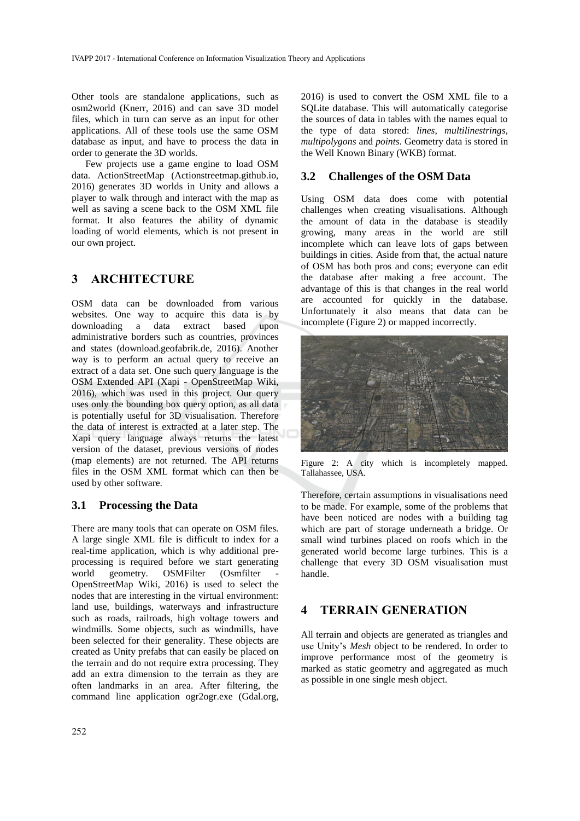Other tools are standalone applications, such as osm2world (Knerr, 2016) and can save 3D model files, which in turn can serve as an input for other applications. All of these tools use the same OSM database as input, and have to process the data in order to generate the 3D worlds.

Few projects use a game engine to load OSM data. ActionStreetMap (Actionstreetmap.github.io, 2016) generates 3D worlds in Unity and allows a player to walk through and interact with the map as well as saving a scene back to the OSM XML file format. It also features the ability of dynamic loading of world elements, which is not present in our own project.

## **3 ARCHITECTURE**

OSM data can be downloaded from various websites. One way to acquire this data is by downloading a data extract based upon administrative borders such as countries, provinces and states (download.geofabrik.de, 2016). Another way is to perform an actual query to receive an extract of a data set. One such query language is the OSM Extended API (Xapi - OpenStreetMap Wiki, 2016), which was used in this project. Our query uses only the bounding box query option, as all data is potentially useful for 3D visualisation. Therefore the data of interest is extracted at a later step. The Xapi query language always returns the latest version of the dataset, previous versions of nodes (map elements) are not returned. The API returns files in the OSM XML format which can then be used by other software.

### **3.1 Processing the Data**

There are many tools that can operate on OSM files. A large single XML file is difficult to index for a real-time application, which is why additional preprocessing is required before we start generating world geometry. OSMFilter (Osmfilter OpenStreetMap Wiki, 2016) is used to select the nodes that are interesting in the virtual environment: land use, buildings, waterways and infrastructure such as roads, railroads, high voltage towers and windmills. Some objects, such as windmills, have been selected for their generality. These objects are created as Unity prefabs that can easily be placed on the terrain and do not require extra processing. They add an extra dimension to the terrain as they are often landmarks in an area. After filtering, the command line application ogr2ogr.exe (Gdal.org,

2016) is used to convert the OSM XML file to a SQLite database. This will automatically categorise the sources of data in tables with the names equal to the type of data stored: *lines, multilinestrings, multipolygons* and *points*. Geometry data is stored in the Well Known Binary (WKB) format.

### **3.2 Challenges of the OSM Data**

Using OSM data does come with potential challenges when creating visualisations. Although the amount of data in the database is steadily growing, many areas in the world are still incomplete which can leave lots of gaps between buildings in cities. Aside from that, the actual nature of OSM has both pros and cons; everyone can edit the database after making a free account. The advantage of this is that changes in the real world are accounted for quickly in the database. Unfortunately it also means that data can be incomplete (Figure 2) or mapped incorrectly.



Figure 2: A city which is incompletely mapped. Tallahassee, USA.

Therefore, certain assumptions in visualisations need to be made. For example, some of the problems that have been noticed are nodes with a building tag which are part of storage underneath a bridge. Or small wind turbines placed on roofs which in the generated world become large turbines. This is a challenge that every 3D OSM visualisation must handle.

## **4 TERRAIN GENERATION**

All terrain and objects are generated as triangles and use Unity's *Mesh* object to be rendered. In order to improve performance most of the geometry is marked as static geometry and aggregated as much as possible in one single mesh object.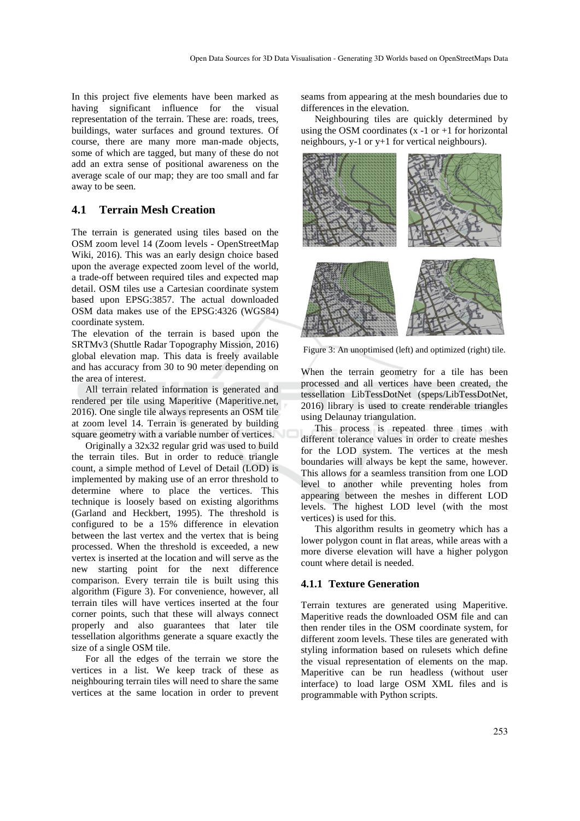In this project five elements have been marked as having significant influence for the visual representation of the terrain. These are: roads, trees, buildings, water surfaces and ground textures. Of course, there are many more man-made objects, some of which are tagged, but many of these do not add an extra sense of positional awareness on the average scale of our map; they are too small and far away to be seen.

### **4.1 Terrain Mesh Creation**

The terrain is generated using tiles based on the OSM zoom level 14 (Zoom levels - OpenStreetMap Wiki, 2016). This was an early design choice based upon the average expected zoom level of the world, a trade-off between required tiles and expected map detail. OSM tiles use a Cartesian coordinate system based upon EPSG:3857. The actual downloaded OSM data makes use of the EPSG:4326 (WGS84) coordinate system.

The elevation of the terrain is based upon the SRTMv3 (Shuttle Radar Topography Mission, 2016) global elevation map. This data is freely available and has accuracy from 30 to 90 meter depending on the area of interest.

All terrain related information is generated and rendered per tile using Maperitive (Maperitive.net, 2016). One single tile always represents an OSM tile at zoom level 14. Terrain is generated by building square geometry with a variable number of vertices.

Originally a 32x32 regular grid was used to build the terrain tiles. But in order to reduce triangle count, a simple method of Level of Detail (LOD) is implemented by making use of an error threshold to determine where to place the vertices. This technique is loosely based on existing algorithms (Garland and Heckbert, 1995). The threshold is configured to be a 15% difference in elevation between the last vertex and the vertex that is being processed. When the threshold is exceeded, a new vertex is inserted at the location and will serve as the new starting point for the next difference comparison. Every terrain tile is built using this algorithm (Figure 3). For convenience, however, all terrain tiles will have vertices inserted at the four corner points, such that these will always connect properly and also guarantees that later tile tessellation algorithms generate a square exactly the size of a single OSM tile.

For all the edges of the terrain we store the vertices in a list. We keep track of these as neighbouring terrain tiles will need to share the same vertices at the same location in order to prevent

seams from appearing at the mesh boundaries due to differences in the elevation.

Neighbouring tiles are quickly determined by using the OSM coordinates  $(x -1)$  or  $x +1$  for horizontal neighbours, y-1 or y+1 for vertical neighbours).



Figure 3: An unoptimised (left) and optimized (right) tile.

When the terrain geometry for a tile has been processed and all vertices have been created, the tessellation LibTessDotNet (speps/LibTessDotNet, 2016) library is used to create renderable triangles using Delaunay triangulation.

This process is repeated three times with different tolerance values in order to create meshes for the LOD system. The vertices at the mesh boundaries will always be kept the same, however. This allows for a seamless transition from one LOD level to another while preventing holes from appearing between the meshes in different LOD levels. The highest LOD level (with the most vertices) is used for this.

This algorithm results in geometry which has a lower polygon count in flat areas, while areas with a more diverse elevation will have a higher polygon count where detail is needed.

#### **4.1.1 Texture Generation**

Terrain textures are generated using Maperitive. Maperitive reads the downloaded OSM file and can then render tiles in the OSM coordinate system, for different zoom levels. These tiles are generated with styling information based on rulesets which define the visual representation of elements on the map. Maperitive can be run headless (without user interface) to load large OSM XML files and is programmable with Python scripts.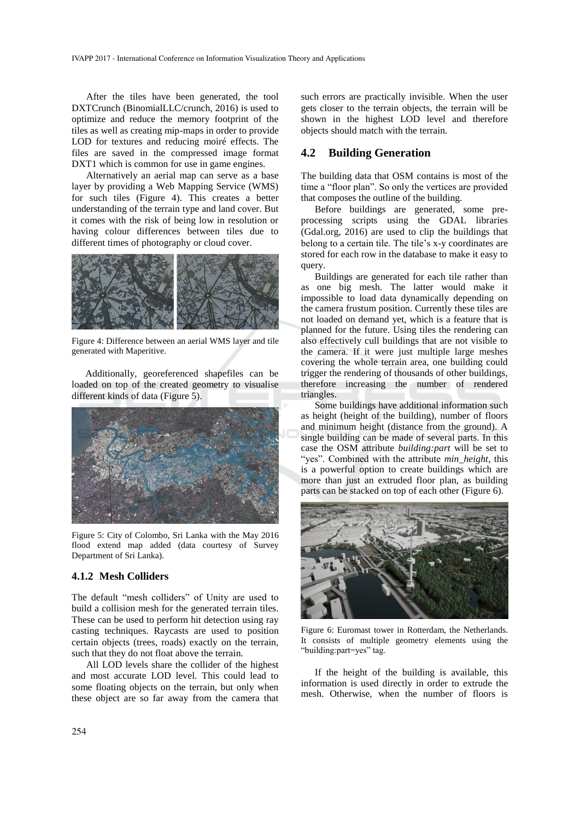After the tiles have been generated, the tool DXTCrunch (BinomialLLC/crunch, 2016) is used to optimize and reduce the memory footprint of the tiles as well as creating mip-maps in order to provide LOD for textures and reducing moiré effects. The files are saved in the compressed image format DXT1 which is common for use in game engines.

Alternatively an aerial map can serve as a base layer by providing a Web Mapping Service (WMS) for such tiles (Figure 4). This creates a better understanding of the terrain type and land cover. But it comes with the risk of being low in resolution or having colour differences between tiles due to different times of photography or cloud cover.



Figure 4: Difference between an aerial WMS layer and tile generated with Maperitive.

Additionally, georeferenced shapefiles can be loaded on top of the created geometry to visualise different kinds of data (Figure 5).



Figure 5: City of Colombo, Sri Lanka with the May 2016 flood extend map added (data courtesy of Survey Department of Sri Lanka).

### **4.1.2 Mesh Colliders**

The default "mesh colliders" of Unity are used to build a collision mesh for the generated terrain tiles. These can be used to perform hit detection using ray casting techniques. Raycasts are used to position certain objects (trees, roads) exactly on the terrain, such that they do not float above the terrain.

All LOD levels share the collider of the highest and most accurate LOD level. This could lead to some floating objects on the terrain, but only when these object are so far away from the camera that

such errors are practically invisible. When the user gets closer to the terrain objects, the terrain will be shown in the highest LOD level and therefore objects should match with the terrain.

#### **4.2 Building Generation**

The building data that OSM contains is most of the time a "floor plan". So only the vertices are provided that composes the outline of the building.

Before buildings are generated, some preprocessing scripts using the GDAL libraries (Gdal.org, 2016) are used to clip the buildings that belong to a certain tile. The tile's x-y coordinates are stored for each row in the database to make it easy to query.

Buildings are generated for each tile rather than as one big mesh. The latter would make it impossible to load data dynamically depending on the camera frustum position. Currently these tiles are not loaded on demand yet, which is a feature that is planned for the future. Using tiles the rendering can also effectively cull buildings that are not visible to the camera. If it were just multiple large meshes covering the whole terrain area, one building could trigger the rendering of thousands of other buildings, therefore increasing the number of rendered triangles.

Some buildings have additional information such as height (height of the building), number of floors and minimum height (distance from the ground). A single building can be made of several parts. In this case the OSM attribute *building:part* will be set to "yes". Combined with the attribute *min\_height*, this is a powerful option to create buildings which are more than just an extruded floor plan, as building parts can be stacked on top of each other (Figure 6).



Figure 6: Euromast tower in Rotterdam, the Netherlands. It consists of multiple geometry elements using the "building:part=yes" tag.

If the height of the building is available, this information is used directly in order to extrude the mesh. Otherwise, when the number of floors is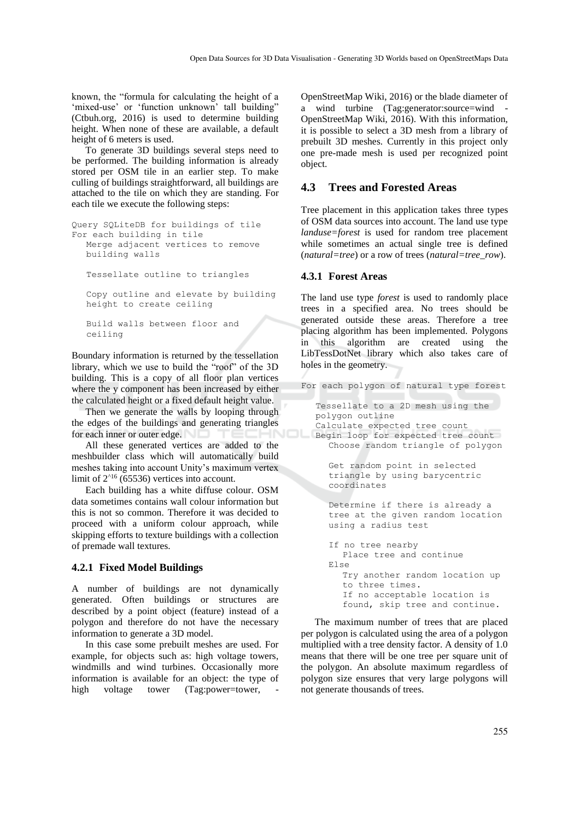known, the "formula for calculating the height of a 'mixed-use' or 'function unknown' tall building" (Ctbuh.org, 2016) is used to determine building height. When none of these are available, a default height of 6 meters is used.

To generate 3D buildings several steps need to be performed. The building information is already stored per OSM tile in an earlier step. To make culling of buildings straightforward, all buildings are attached to the tile on which they are standing. For each tile we execute the following steps:

```
Query SQLiteDB for buildings of tile 
For each building in tile 
  Merge adjacent vertices to remove 
  building walls
  Tessellate outline to triangles
  Copy outline and elevate by building 
  height to create ceiling
  Build walls between floor and 
  ceiling
```
Boundary information is returned by the tessellation library, which we use to build the "roof" of the 3D building. This is a copy of all floor plan vertices where the y component has been increased by either the calculated height or a fixed default height value.

Then we generate the walls by looping through the edges of the buildings and generating triangles for each inner or outer edge.

All these generated vertices are added to the meshbuilder class which will automatically build meshes taking into account Unity's maximum vertex limit of  $2^{16}$  (65536) vertices into account.

Each building has a white diffuse colour. OSM data sometimes contains wall colour information but this is not so common. Therefore it was decided to proceed with a uniform colour approach, while skipping efforts to texture buildings with a collection of premade wall textures.

#### **4.2.1 Fixed Model Buildings**

A number of buildings are not dynamically generated. Often buildings or structures are described by a point object (feature) instead of a polygon and therefore do not have the necessary information to generate a 3D model.

In this case some prebuilt meshes are used. For example, for objects such as: high voltage towers, windmills and wind turbines. Occasionally more information is available for an object: the type of high voltage tower (Tag:power=tower,

OpenStreetMap Wiki, 2016) or the blade diameter of a wind turbine (Tag:generator:source=wind - OpenStreetMap Wiki, 2016). With this information, it is possible to select a 3D mesh from a library of prebuilt 3D meshes. Currently in this project only one pre-made mesh is used per recognized point object.

### **4.3 Trees and Forested Areas**

Tree placement in this application takes three types of OSM data sources into account. The land use type *landuse=forest* is used for random tree placement while sometimes an actual single tree is defined (*natural=tree*) or a row of trees (*natural=tree\_row*).

#### **4.3.1 Forest Areas**

The land use type *forest* is used to randomly place trees in a specified area. No trees should be generated outside these areas. Therefore a tree placing algorithm has been implemented. Polygons in this algorithm are created using the LibTessDotNet library which also takes care of holes in the geometry.

For each polygon of natural type forest

```
Tessellate to a 2D mesh using the 
polygon outline 
Calculate expected tree count
Begin loop for expected tree count
  Choose random triangle of polygon 
  Get random point in selected 
  triangle by using barycentric 
  coordinates
  Determine if there is already a 
  tree at the given random location 
  using a radius test
  If no tree nearby
     Place tree and continue 
  Else 
     Try another random location up
     to three times.
     If no acceptable location is
     found, skip tree and continue.
```
The maximum number of trees that are placed per polygon is calculated using the area of a polygon multiplied with a tree density factor. A density of 1.0 means that there will be one tree per square unit of the polygon. An absolute maximum regardless of polygon size ensures that very large polygons will not generate thousands of trees.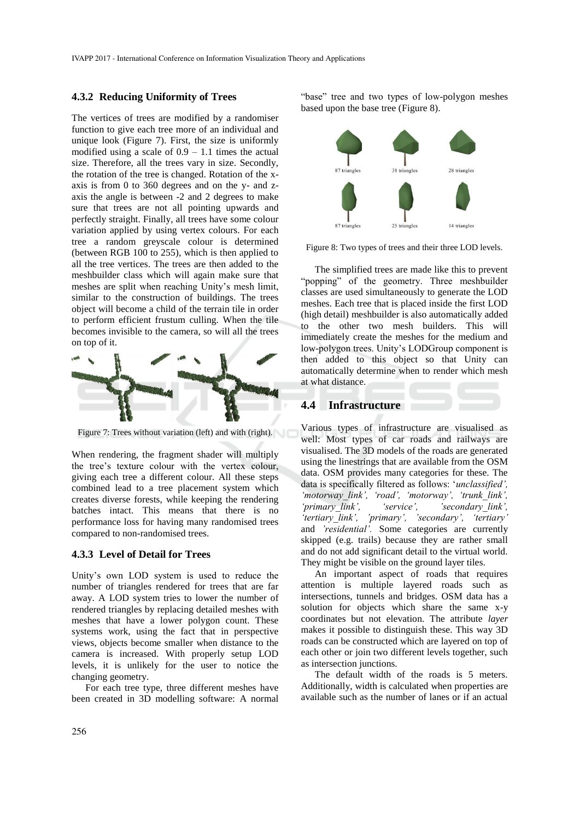#### **4.3.2 Reducing Uniformity of Trees**

The vertices of trees are modified by a randomiser function to give each tree more of an individual and unique look (Figure 7). First, the size is uniformly modified using a scale of  $0.9 - 1.1$  times the actual size. Therefore, all the trees vary in size. Secondly, the rotation of the tree is changed. Rotation of the xaxis is from 0 to 360 degrees and on the y- and zaxis the angle is between -2 and 2 degrees to make sure that trees are not all pointing upwards and perfectly straight. Finally, all trees have some colour variation applied by using vertex colours. For each tree a random greyscale colour is determined (between RGB 100 to 255), which is then applied to all the tree vertices. The trees are then added to the meshbuilder class which will again make sure that meshes are split when reaching Unity's mesh limit, similar to the construction of buildings. The trees object will become a child of the terrain tile in order to perform efficient frustum culling. When the tile becomes invisible to the camera, so will all the trees on top of it.



Figure 7: Trees without variation (left) and with (right).

When rendering, the fragment shader will multiply the tree's texture colour with the vertex colour, giving each tree a different colour. All these steps combined lead to a tree placement system which creates diverse forests, while keeping the rendering batches intact. This means that there is no performance loss for having many randomised trees compared to non-randomised trees.

#### **4.3.3 Level of Detail for Trees**

Unity's own LOD system is used to reduce the number of triangles rendered for trees that are far away. A LOD system tries to lower the number of rendered triangles by replacing detailed meshes with meshes that have a lower polygon count. These systems work, using the fact that in perspective views, objects become smaller when distance to the camera is increased. With properly setup LOD levels, it is unlikely for the user to notice the changing geometry.

For each tree type, three different meshes have been created in 3D modelling software: A normal

"base" tree and two types of low-polygon meshes based upon the base tree (Figure 8).





The simplified trees are made like this to prevent "popping" of the geometry. Three meshbuilder classes are used simultaneously to generate the LOD meshes. Each tree that is placed inside the first LOD (high detail) meshbuilder is also automatically added to the other two mesh builders. This will immediately create the meshes for the medium and low-polygon trees. Unity's LODGroup component is then added to this object so that Unity can automatically determine when to render which mesh at what distance.

#### **4.4 Infrastructure**

Various types of infrastructure are visualised as well: Most types of car roads and railways are visualised. The 3D models of the roads are generated using the linestrings that are available from the OSM data. OSM provides many categories for these. The data is specifically filtered as follows: '*unclassified', 'motorway\_link', 'road', 'motorway', 'trunk\_link', 'primary\_link', 'service', 'secondary\_link', 'tertiary\_link', 'primary', 'secondary', 'tertiary'*  and *'residential'.* Some categories are currently skipped (e.g. trails) because they are rather small and do not add significant detail to the virtual world. They might be visible on the ground layer tiles.

An important aspect of roads that requires attention is multiple layered roads such as intersections, tunnels and bridges. OSM data has a solution for objects which share the same x-y coordinates but not elevation. The attribute *layer* makes it possible to distinguish these. This way 3D roads can be constructed which are layered on top of each other or join two different levels together, such as intersection junctions.

The default width of the roads is 5 meters. Additionally, width is calculated when properties are available such as the number of lanes or if an actual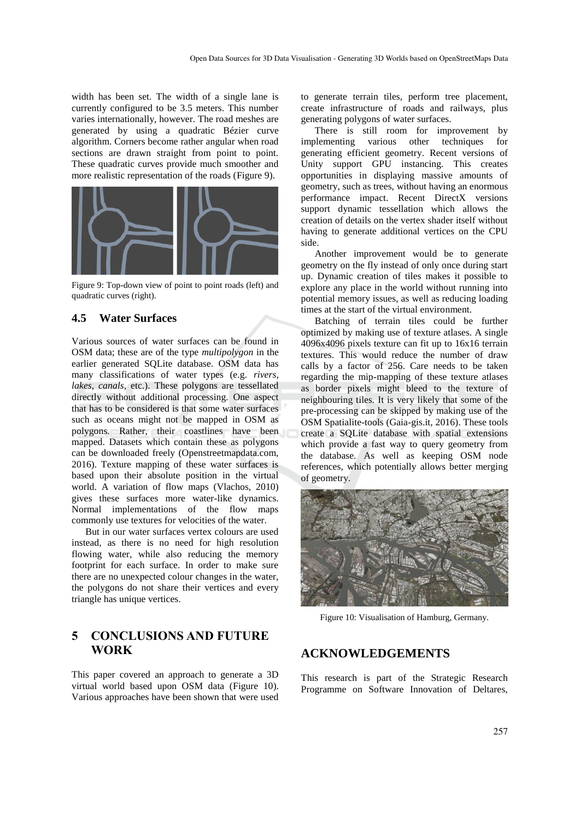width has been set. The width of a single lane is currently configured to be 3.5 meters. This number varies internationally, however. The road meshes are generated by using a quadratic Bézier curve algorithm. Corners become rather angular when road sections are drawn straight from point to point. These quadratic curves provide much smoother and more realistic representation of the roads (Figure 9).



Figure 9: Top-down view of point to point roads (left) and quadratic curves (right).

## **4.5 Water Surfaces**

Various sources of water surfaces can be found in OSM data; these are of the type *multipolygon* in the earlier generated SQLite database. OSM data has many classifications of water types (e.g. *rivers*, *lakes*, *canals*, etc.). These polygons are tessellated directly without additional processing. One aspect that has to be considered is that some water surfaces such as oceans might not be mapped in OSM as polygons. Rather, their coastlines have been mapped. Datasets which contain these as polygons can be downloaded freely (Openstreetmapdata.com, 2016). Texture mapping of these water surfaces is based upon their absolute position in the virtual world. A variation of flow maps (Vlachos, 2010) gives these surfaces more water-like dynamics. Normal implementations of the flow maps commonly use textures for velocities of the water.

But in our water surfaces vertex colours are used instead, as there is no need for high resolution flowing water, while also reducing the memory footprint for each surface. In order to make sure there are no unexpected colour changes in the water, the polygons do not share their vertices and every triangle has unique vertices.

## **5 CONCLUSIONS AND FUTURE WORK**

This paper covered an approach to generate a 3D virtual world based upon OSM data (Figure 10). Various approaches have been shown that were used to generate terrain tiles, perform tree placement, create infrastructure of roads and railways, plus generating polygons of water surfaces.

There is still room for improvement by implementing various other techniques for generating efficient geometry. Recent versions of Unity support GPU instancing. This creates opportunities in displaying massive amounts of geometry, such as trees, without having an enormous performance impact. Recent DirectX versions support dynamic tessellation which allows the creation of details on the vertex shader itself without having to generate additional vertices on the CPU side.

Another improvement would be to generate geometry on the fly instead of only once during start up. Dynamic creation of tiles makes it possible to explore any place in the world without running into potential memory issues, as well as reducing loading times at the start of the virtual environment.

Batching of terrain tiles could be further optimized by making use of texture atlases. A single 4096x4096 pixels texture can fit up to 16x16 terrain textures. This would reduce the number of draw calls by a factor of 256. Care needs to be taken regarding the mip-mapping of these texture atlases as border pixels might bleed to the texture of neighbouring tiles. It is very likely that some of the pre-processing can be skipped by making use of the OSM Spatialite-tools (Gaia-gis.it, 2016). These tools create a SQLite database with spatial extensions which provide a fast way to query geometry from the database. As well as keeping OSM node references, which potentially allows better merging of geometry.



Figure 10: Visualisation of Hamburg, Germany.

## **ACKNOWLEDGEMENTS**

This research is part of the Strategic Research Programme on Software Innovation of Deltares,